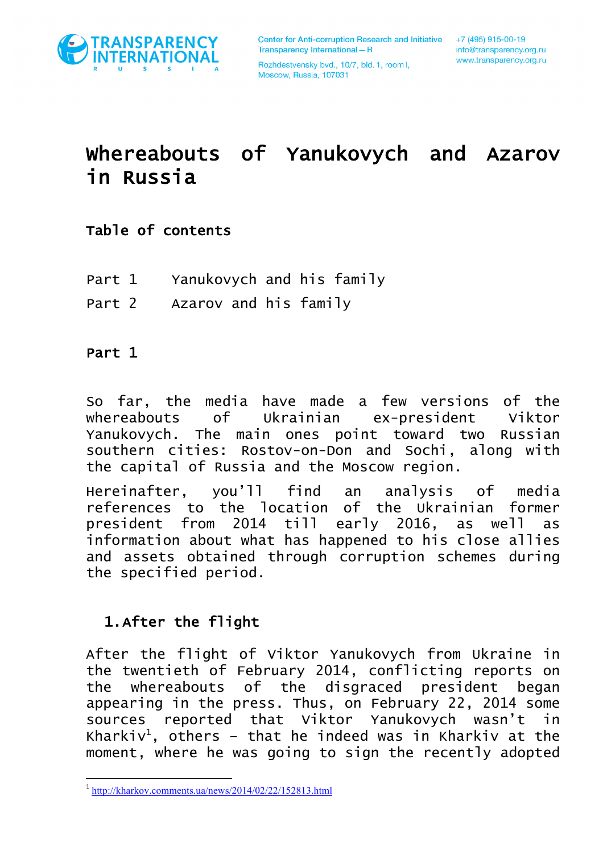

# Whereabouts of Yanukovych and Azarov in Russia

### Table of contents

- Part 1 Yanukovych and his family
- Part 2 Azarov and his family

#### Part 1

So far, the media have made a few versions of the whereabouts of Ukrainian ex-president Viktor Yanukovych. The main ones point toward two Russian southern cities: Rostov-on-Don and Sochi, along with the capital of Russia and the Moscow region.

Hereinafter, you'll find an analysis of media references to the location of the Ukrainian former president from 2014 till early 2016, as well as information about what has happened to his close allies and assets obtained through corruption schemes during the specified period.

#### 1.After the flight

After the flight of Viktor Yanukovych from Ukraine in the twentieth of February 2014, conflicting reports on the whereabouts of the disgraced president began appearing in the press. Thus, on February 22, 2014 some sources reported that Viktor Yanukovych wasn't in Kharkiv $^1$ , others - that he indeed was in Kharkiv at the moment, where he was going to sign the recently adopted

 $1 \text{ http://kharkov.comments.ua/news/2014/02/22/152813.html}$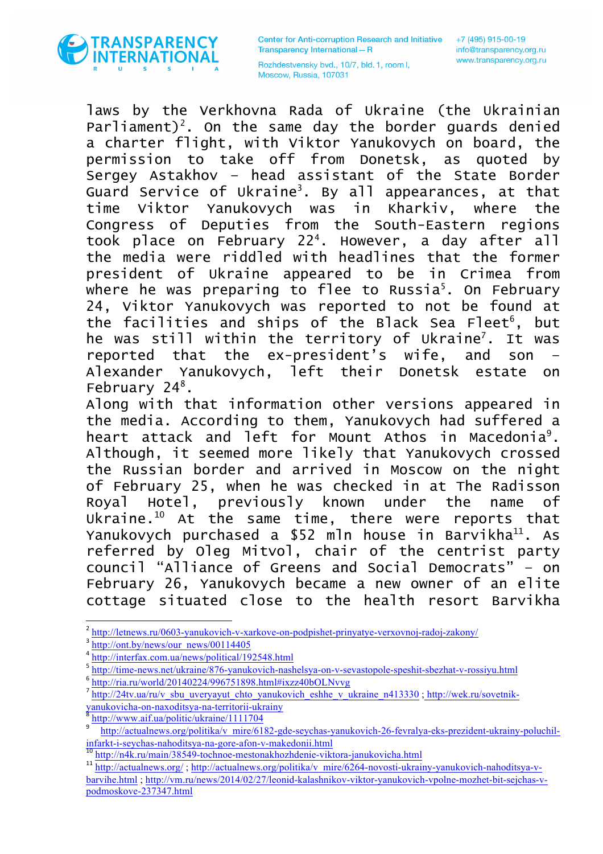

Rozhdestvensky bvd., 10/7, bld. 1, room I, Moscow, Russia, 107031

laws by the Verkhovna Rada of Ukraine (the Ukrainian Parliament)<sup>2</sup>. On the same day the border guards denied a charter flight, with Viktor Yanukovych on board, the permission to take off from Donetsk, as quoted by Sergey Astakhov – head assistant of the State Border Guard Service of Ukraine<sup>3</sup>. By all appearances, at that time Viktor Yanukovych was in Kharkiv, where the Congress of Deputies from the South-Eastern regions took place on February 224 . However, a day after all the media were riddled with headlines that the former president of Ukraine appeared to be in Crimea from where he was preparing to flee to Russia<sup>5</sup>. On February 24, Viktor Yanukovych was reported to not be found at the facilities and ships of the Black Sea Fleet<sup>6</sup>, but he was still within the territory of Ukraine<sup>7</sup>. It was reported that the ex-president's wife, and son – Alexander Yanukovych, left their Donetsk estate on February 24<sup>8</sup>.

Along with that information other versions appeared in the media. According to them, Yanukovych had suffered a heart attack and left for Mount Athos in Macedonia<sup>9</sup>. Although, it seemed more likely that Yanukovych crossed the Russian border and arrived in Moscow on the night of February 25, when he was checked in at The Radisson Royal Hotel, previously known under the name of Ukraine. $10$  At the same time, there were reports that Yanukovych purchased a \$52 mln house in Barvikha<sup>11</sup>. As referred by Oleg Mitvol, chair of the centrist party council "Alliance of Greens and Social Democrats" – on February 26, Yanukovych became a new owner of an elite cottage situated close to the health resort Barvikha

<sup>2</sup> http://letnews.ru/0603-yanukovich-v-xarkove-on-podpishet-prinyatye-verxovnoj-radoj-zakony/

http://ont.by/news/our\_news/00114405

<sup>4</sup> http://interfax.com.ua/news/political/192548.html

<sup>5</sup> http://time-news.net/ukraine/876-yanukovich-nashelsya-on-v-sevastopole-speshit-sbezhat-v-rossiyu.html

 $6 \frac{\text{http://ria.ru/world/20140224/996751898.html\#ixzz40bOLNvvg}}{$ 

http://24tv.ua/ru/v\_sbu\_uveryayut\_chto\_yanukovich\_eshhe\_v\_ukraine\_n413330 ; http://wek.ru/sovetnikyanukovicha-on-naxoditsya-na-territorii-ukrainy 8<br>http://www.aif.ua/politic/ukraine/1111704

http://actualnews.org/politika/v\_mire/6182-gde-seychas-yanukovich-26-fevralya-eks-prezident-ukrainy-poluchilinfarkt-i-seychas-nahoditsya-na-gore-afon-v-makedonii.html <sup>10</sup> http://n4k.ru/main/38549-tochnoe-mestonakhozhdenie-viktora-janukovicha.html

<sup>&</sup>lt;sup>11</sup> http://actualnews.org/ ; http://actualnews.org/politika/v\_mire/6264-novosti-ukrainy-yanukovich-nahoditsya-vbarvihe.html ; http://vm.ru/news/2014/02/27/leonid-kalashnikov-viktor-yanukovich-vpolne-mozhet-bit-sejchas-vpodmoskove-237347.html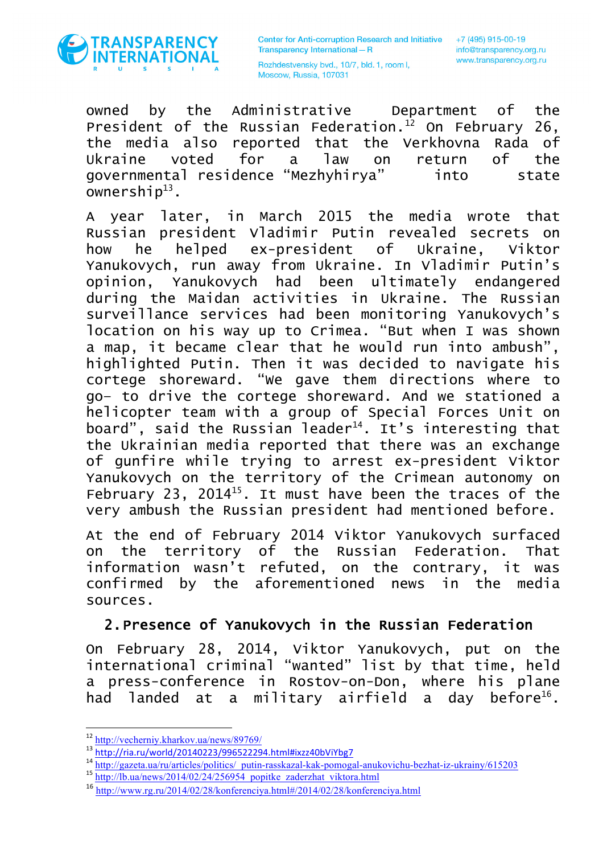

+7 (495) 915-00-19 info@transparency.org.ru www.transparency.org.ru

Rozhdestvensky bvd., 10/7, bld. 1, room I, Moscow, Russia, 107031

owned by the Administrative Department of the President of the Russian Federation. $12$  On February 26, the media also reported that the Verkhovna Rada of Ukraine voted for a law on return of the governmental residence "Mezhyhirya" into state ownership $^{13}$ .

A year later, in March 2015 the media wrote that Russian president Vladimir Putin revealed secrets on how he helped ex-president of Ukraine, Viktor Yanukovych, run away from Ukraine. In Vladimir Putin's opinion, Yanukovych had been ultimately endangered during the Maidan activities in Ukraine. The Russian surveillance services had been monitoring Yanukovych's location on his way up to Crimea. "But when I was shown a map, it became clear that he would run into ambush", highlighted Putin. Then it was decided to navigate his cortege shoreward. "We gave them directions where to go– to drive the cortege shoreward. And we stationed a helicopter team with a group of Special Forces Unit on board", said the Russian leader<sup>14</sup>. It's interesting that the Ukrainian media reported that there was an exchange of gunfire while trying to arrest ex-president Viktor Yanukovych on the territory of the Crimean autonomy on February 23, 2014<sup>15</sup>. It must have been the traces of the very ambush the Russian president had mentioned before.

At the end of February 2014 Viktor Yanukovych surfaced on the territory of the Russian Federation. That information wasn't refuted, on the contrary, it was confirmed by the aforementioned news in the media sources.

#### 2.Presence of Yanukovych in the Russian Federation

On February 28, 2014, Viktor Yanukovych, put on the international criminal "wanted" list by that time, held a press-conference in Rostov-on-Don, where his plane had landed at a military airfield a day before<sup>16</sup>.

 $\frac{12 \text{ http://vecherniy.kharkov.ua/news/89769}}{13 \text{ http://ria.ru/world/20140223/996522294.htm}$ 

<sup>&</sup>lt;sup>14</sup> http://gazeta.ua/ru/articles/politics/\_putin-rasskazal-kak-pomogal-anukovichu-bezhat-iz-ukrainy/615203

<sup>15</sup> http://lb.ua/news/2014/02/24/256954\_popitke\_zaderzhat\_viktora.html

<sup>16</sup> http://www.rg.ru/2014/02/28/konferenciya.html#/2014/02/28/konferenciya.html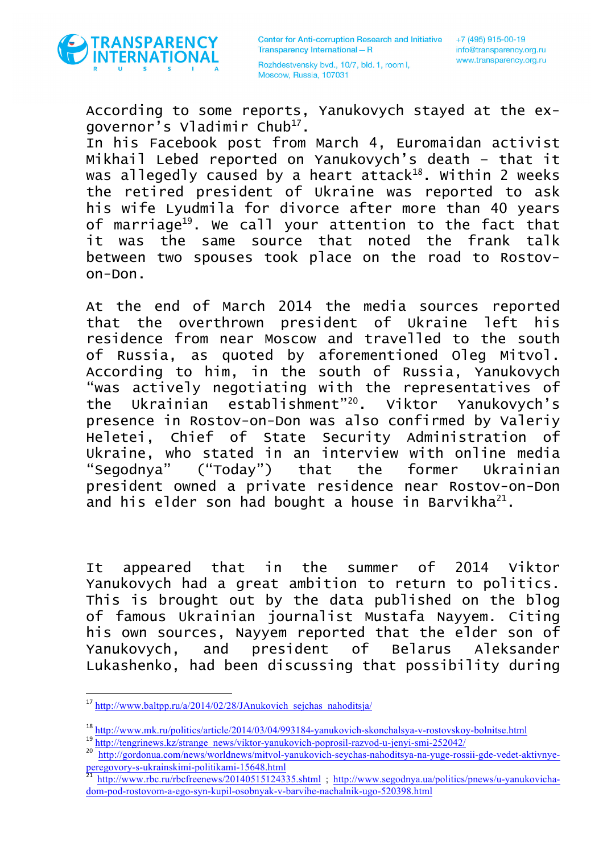

According to some reports, Yanukovych stayed at the exgovernor's Vladimir Chub<sup>17</sup>.

In his Facebook post from March 4, Euromaidan activist Mikhail Lebed reported on Yanukovych's death – that it was allegedly caused by a heart attack<sup>18</sup>. Within 2 weeks the retired president of Ukraine was reported to ask his wife Lyudmila for divorce after more than 40 years of marriage<sup>19</sup>. We call your attention to the fact that it was the same source that noted the frank talk between two spouses took place on the road to Rostovon-Don.

At the end of March 2014 the media sources reported that the overthrown president of Ukraine left his residence from near Moscow and travelled to the south of Russia, as quoted by aforementioned Oleg Mitvol. According to him, in the south of Russia, Yanukovych "was actively negotiating with the representatives of the Ukrainian establishment"20. Viktor Yanukovych's presence in Rostov-on-Don was also confirmed by Valeriy Heletei, Chief of State Security Administration of Ukraine, who stated in an interview with online media "Segodnya" ("Today") that the former Ukrainian president owned a private residence near Rostov-on-Don and his elder son had bought a house in Barvikha $^{21}$ .

It appeared that in the summer of 2014 Viktor Yanukovych had a great ambition to return to politics. This is brought out by the data published on the blog of famous Ukrainian journalist Mustafa Nayyem. Citing his own sources, Nayyem reported that the elder son of Yanukovych, and president of Belarus Aleksander Lukashenko, had been discussing that possibility during

<sup>&</sup>lt;sup>17</sup> http://www.baltpp.ru/a/2014/02/28/JAnukovich\_sejchas\_nahoditsja/

<sup>18</sup> http://www.mk.ru/politics/article/2014/03/04/993184-yanukovich-skonchalsya-v-rostovskoy-bolnitse.html

<sup>&</sup>lt;sup>19</sup> http://tengrinews.kz/strange\_news/viktor-yanukovich-poprosil-razvod-u-jenyi-smi-252042/

<sup>20</sup> http://gordonua.com/news/worldnews/mitvol-yanukovich-seychas-nahoditsya-na-yuge-rossii-gde-vedet-aktivnye-<br>peregovory-s-ukrainskimi-politikami-15648.html<br> $\frac{21 \text{ htto}}{21 \text{ htto}}$ 

http://www.rbc.ru/rbcfreenews/20140515124335.shtml ; http://www.segodnya.ua/politics/pnews/u-yanukovichadom-pod-rostovom-a-ego-syn-kupil-osobnyak-v-barvihe-nachalnik-ugo-520398.html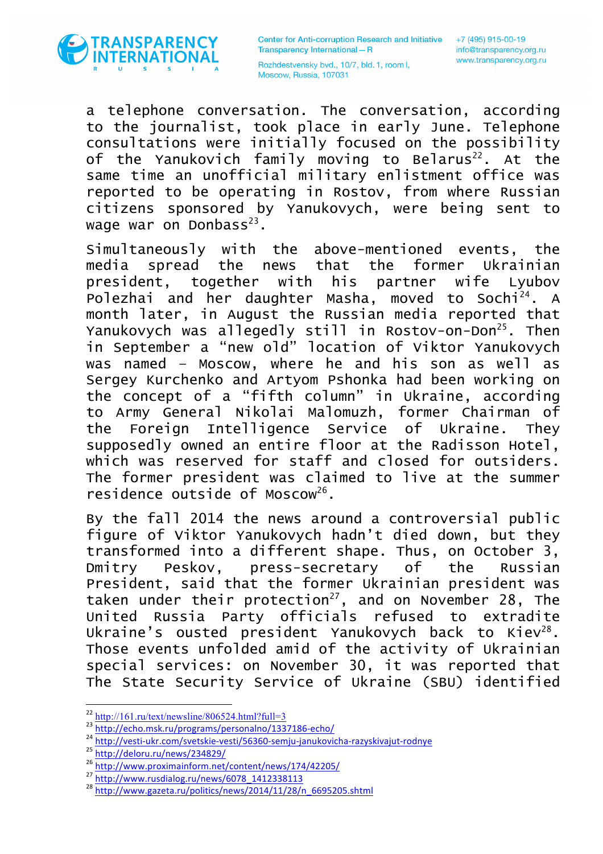

Rozhdestvensky bvd., 10/7, bld. 1, room I, Moscow, Russia, 107031

a telephone conversation. The conversation, according to the journalist, took place in early June. Telephone consultations were initially focused on the possibility of the Yanukovich family moving to Belarus<sup>22</sup>. At the same time an unofficial military enlistment office was reported to be operating in Rostov, from where Russian citizens sponsored by Yanukovych, were being sent to wage war on Donbass $^{23}$ .

Simultaneously with the above-mentioned events, the media spread the news that the former Ukrainian president, together with his partner wife Lyubov Polezhai and her daughter Masha, moved to Sochi24. A month later, in August the Russian media reported that Yanukovych was allegedly still in Rostov-on-Don<sup>25</sup>. Then in September a "new old" location of Viktor Yanukovych was named – Moscow, where he and his son as well as Sergey Kurchenko and Artyom Pshonka had been working on the concept of a "fifth column" in Ukraine, according to Army General Nikolai Malomuzh, former Chairman of the Foreign Intelligence Service of Ukraine. They supposedly owned an entire floor at the Radisson Hotel, which was reserved for staff and closed for outsiders. The former president was claimed to live at the summer residence outside of Moscow<sup>26</sup>.

By the fall 2014 the news around a controversial public figure of Viktor Yanukovych hadn't died down, but they transformed into a different shape. Thus, on October 3, Dmitry Peskov, press-secretary of the Russian President, said that the former Ukrainian president was taken under their protection<sup>27</sup>, and on November 28, The United Russia Party officials refused to extradite Ukraine's ousted president Yanukovych back to Kiev<sup>28</sup>. Those events unfolded amid of the activity of Ukrainian special services: on November 30, it was reported that The State Security Service of Ukraine (SBU) identified

 $\frac{\frac{22 \text{ http://161.ru/text/newsline/806524.html?full=3}}{\text{http://echo.msk.ru/projects06524.html?full=3}}}{\frac{23 \text{ http://echo.msk.ru/projects06524.html?full=3}}{\text{http://vesti-ukr.com/svetskie-vesti/56360-semju-janukovicha-razyskivajut-rodnye}}}}$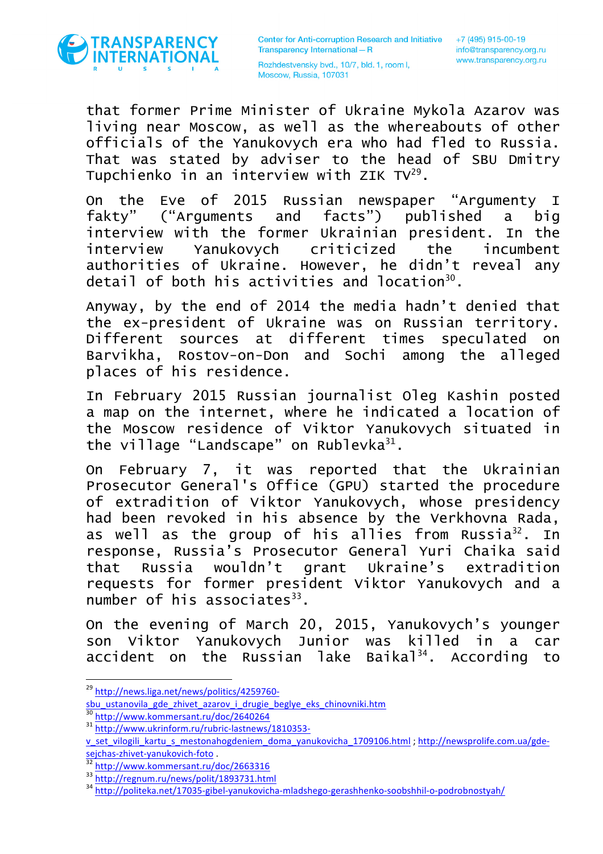

that former Prime Minister of Ukraine Mykola Azarov was living near Moscow, as well as the whereabouts of other officials of the Yanukovych era who had fled to Russia. That was stated by adviser to the head of SBU Dmitry Tupchienko in an interview with ZIK  $TV^{29}$ .

On the Eve of 2015 Russian newspaper "Argumenty I fakty" ("Arguments and facts") published a big interview with the former Ukrainian president. In the interview Yanukovych criticized the incumbent authorities of Ukraine. However, he didn't reveal any detail of both his activities and location $^{30}$ .

Anyway, by the end of 2014 the media hadn't denied that the ex-president of Ukraine was on Russian territory. Different sources at different times speculated on Barvikha, Rostov-on-Don and Sochi among the alleged places of his residence.

In February 2015 Russian journalist Oleg Kashin posted a map on the internet, where he indicated a location of the Moscow residence of Viktor Yanukovych situated in the village "Landscape" on Rublevka $31$ .

On February 7, it was reported that the Ukrainian Prosecutor General's Office (GPU) started the procedure of extradition of Viktor Yanukovych, whose presidency had been revoked in his absence by the Verkhovna Rada, as well as the group of his allies from Russia<sup>32</sup>. In response, Russia's Prosecutor General Yuri Chaika said that Russia wouldn't grant Ukraine's extradition requests for former president Viktor Yanukovych and a number of his associates $^{33}$ .

On the evening of March 20, 2015, Yanukovych's younger son Viktor Yanukovych Junior was killed in a car accident on the Russian lake Baikal<sup>34</sup>. According to

<sup>29</sup> http://news.liga.net/news/politics/4259760-

sbu\_ustanovila\_gde\_zhivet\_azarov\_i\_drugie\_beglye\_eks\_chinovniki.htm <sup>30</sup> http://www.kommersant.ru/doc/2640264<br><sup>31</sup> http://www.ukrinform.ru/rubric-lastnews/1810353-

v\_set\_vilogili\_kartu\_s\_mestonahogdeniem\_doma\_yanukovicha\_1709106.html ; http://newsprolife.com.ua/gdesejchas-zhivet-yanukovich-foto .<br><sup>32</sup> http://www.kommersant.ru/doc/2663316<br><sup>33</sup> http://regnum.ru/news/polit/1893731.html<br><sup>34</sup> http://politeka.net/17035-gibel-yanukovicha-mladshego-gerashhenko-soobshhil-o-podrobnostyah/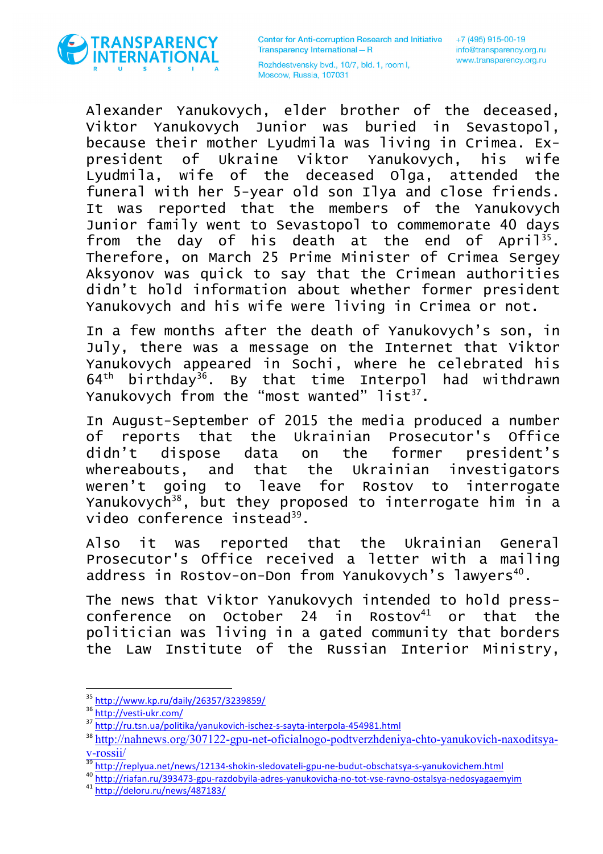

Rozhdestvensky bvd., 10/7, bld. 1, room I, Moscow, Russia, 107031

Alexander Yanukovych, elder brother of the deceased, Viktor Yanukovych Junior was buried in Sevastopol, because their mother Lyudmila was living in Crimea. Expresident of Ukraine Viktor Yanukovych, his wife Lyudmila, wife of the deceased Olga, attended the funeral with her 5-year old son Ilya and close friends. It was reported that the members of the Yanukovych Junior family went to Sevastopol to commemorate 40 days from the day of his death at the end of April<sup>35</sup>. Therefore, on March 25 Prime Minister of Crimea Sergey Aksyonov was quick to say that the Crimean authorities didn't hold information about whether former president Yanukovych and his wife were living in Crimea or not.

In a few months after the death of Yanukovych's son, in July, there was a message on the Internet that Viktor Yanukovych appeared in Sochi, where he celebrated his  $64<sup>th</sup>$  birthday<sup>36</sup>. By that time Interpol had withdrawn Yanukovych from the "most wanted"  $list^{37}$ .

In August-September of 2015 the media produced a number of reports that the Ukrainian Prosecutor's Office didn't dispose data on the former president's whereabouts, and that the Ukrainian investigators weren't going to leave for Rostov to interrogate Yanukovych<sup>38</sup>, but they proposed to interrogate him in a video conference instead<sup>39</sup>.

Also it was reported that the Ukrainian General Prosecutor's Office received a letter with a mailing address in Rostov-on-Don from Yanukovych's lawyers<sup>40</sup>.

The news that Viktor Yanukovych intended to hold pressconference on October 24 in Rostov $41$  or that the politician was living in a gated community that borders the Law Institute of the Russian Interior Ministry,

 $\frac{35 \text{ http://www.kp.ru/daily/26357/3239859/}}{36 \text{ http://vesti-ukr.com/}}$ <br> $\frac{35 \text{ http://vesti-ukr.com/}}{37 \text{ http://ru.tsn.ua/politika/yanukovich-ischez-s-sayta-interpola-454981.html}}$ 

<sup>&</sup>lt;sup>38</sup> http://nahnews.org/307122-gpu-net-oficialnogo-podtverzhdeniya-chto-yanukovich-naxoditsya-

V-rossii/<br><sup>39</sup>http://replyua.net/news/12134-shokin-sledovateli-gpu-ne-budut-obschatsya-s-yanukovichem.html<br><sup>40</sup>http://riafan.ru/393473-gpu-razdobyila-adres-yanukovicha-no-tot-vse-ravno-ostalsya-nedosyagaemyim<br><sup>41</sup>http://de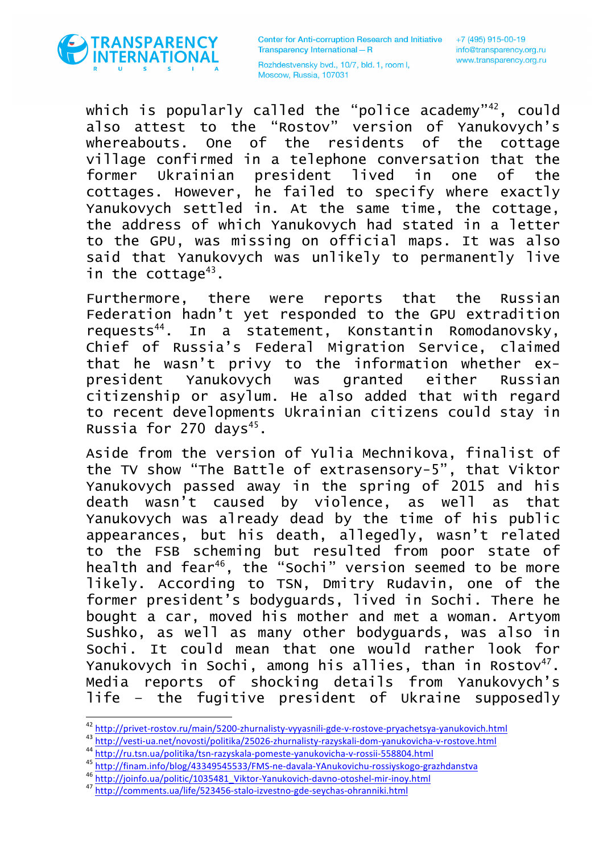

Rozhdestvensky bvd., 10/7, bld. 1, room I, Moscow, Russia, 107031

which is popularly called the "police academy"<sup>42</sup>, could also attest to the "Rostov" version of Yanukovych's whereabouts. One of the residents of the cottage village confirmed in a telephone conversation that the former Ukrainian president lived in one of the cottages. However, he failed to specify where exactly Yanukovych settled in. At the same time, the cottage, the address of which Yanukovych had stated in a letter to the GPU, was missing on official maps. It was also said that Yanukovych was unlikely to permanently live in the cottage $43$ .

Furthermore, there were reports that the Russian Federation hadn't yet responded to the GPU extradition requests<sup>44</sup>. In a statement, Konstantin Romodanovsky, Chief of Russia's Federal Migration Service, claimed that he wasn't privy to the information whether expresident Yanukovych was granted either Russian citizenship or asylum. He also added that with regard to recent developments Ukrainian citizens could stay in Russia for 270 days $45$ .

Aside from the version of Yulia Mechnikova, finalist of the TV show "The Battle of extrasensory-5", that Viktor Yanukovych passed away in the spring of 2015 and his death wasn't caused by violence, as well as that Yanukovych was already dead by the time of his public appearances, but his death, allegedly, wasn't related to the FSB scheming but resulted from poor state of health and fear<sup>46</sup>, the "Sochi" version seemed to be more likely. According to TSN, Dmitry Rudavin, one of the former president's bodyguards, lived in Sochi. There he bought a car, moved his mother and met a woman. Artyom Sushko, as well as many other bodyguards, was also in Sochi. It could mean that one would rather look for Yanukovych in Sochi, among his allies, than in Rostov<sup>47</sup>. Media reports of shocking details from Yanukovych's life – the fugitive president of Ukraine supposedly

 $\begin{array}{l} \text{42}\ \underline{\text{http://private-rostov.ru/min/5200-zhurnalisty-vyyasnili-gde-v-rostove-pryachetsya-vanukovich.html}} \\ \text{43}\ \underline{\text{http://vesti-ua.net/novosti/politika/25026-zhurnalisty-razyskali-dom-vanukovicha-v-rostove.html}} \\ \text{44}\ \underline{\text{http://ru.tsn.ua/politika/stn-razyskala-pomeste-vanukovicha-v-rossii-558804.html}} \\ \text{45}\ \underline{\text{http://finam.info/blog/43349545533/FMS-ne-davala-YAnukovichu-rossiyskogo-grazhdanstva}}$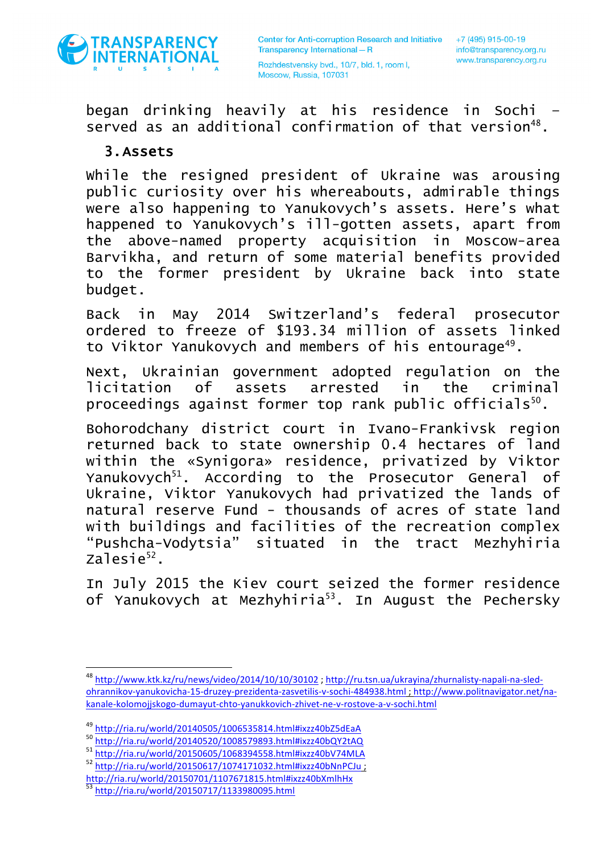

began drinking heavily at his residence in Sochi – served as an additional confirmation of that version<sup>48</sup>.

#### 3.Assets

While the resigned president of Ukraine was arousing public curiosity over his whereabouts, admirable things were also happening to Yanukovych's assets. Here's what happened to Yanukovych's ill-gotten assets, apart from the above-named property acquisition in Moscow-area Barvikha, and return of some material benefits provided to the former president by Ukraine back into state budget.

Back in May 2014 Switzerland's federal prosecutor ordered to freeze of \$193.34 million of assets linked to Viktor Yanukovych and members of his entourage<sup>49</sup>.

Next, Ukrainian government adopted regulation on the licitation of assets arrested in the criminal proceedings against former top rank public officials<sup>50</sup>.

Bohorodchany district court in Ivano-Frankivsk region returned back to state ownership 0.4 hectares of land within the «Synigora» residence, privatized by Viktor Yanukovych<sup>51</sup>. According to the Prosecutor General of Ukraine, Viktor Yanukovych had privatized the lands of natural reserve Fund - thousands of acres of state land with buildings and facilities of the recreation complex "Pushcha-Vodytsia" situated in the tract Mezhyhiria zalesie<sup>52</sup>.

In July 2015 the Kiev court seized the former residence of Yanukovych at Mezhyhiria<sup>53</sup>. In August the Pechersky

<sup>&</sup>lt;sup>48</sup> http://www.ktk.kz/ru/news/video/2014/10/10/30102 ; http://ru.tsn.ua/ukrayina/zhurnalisty-napali-na-sledohrannikov-yanukovicha-15-druzey-prezidenta-zasvetilis-v-sochi-484938.html ; http://www.politnavigator.net/nakanale-kolomojjskogo-dumayut-chto-yanukkovich-zhivet-ne-v-rostove-a-v-sochi.html

 $\frac{{}^{49}\text{http://ria.ru/world/20140505/1006535814.html}\text{Hixzz40b25dEaA}}{{}^{50}\text{http://ria.ru/world/20140520/1008579893.html}\text{Hixzz40bQY2tAQ}\n  
\n
$$
^{51}\text{http://ria.ru/world/20150605/1068394558.html}\text{Hixzz40bQY2tAQ}\n  
\n<sup>52</sup>\nhttp://ria.ru/world/20150605/1068394558.html}\text{Hixzz40bV74MLA}\n
$$$ 

http://ria.ru/world/20150701/1107671815.html#ixzz40bXmlhHx<br>53 http://ria.ru/world/20150717/1133980095.html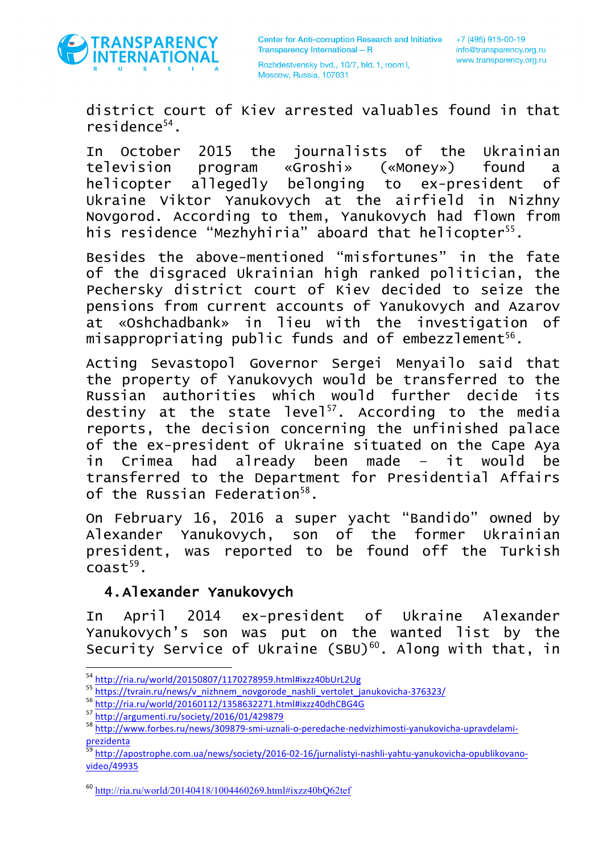

district court of Kiev arrested valuables found in that residence $54$ .

In October 2015 the journalists of the Ukrainian television program «Groshi» («Money») found a helicopter allegedly belonging to ex-president of Ukraine Viktor Yanukovych at the airfield in Nizhny Novgorod. According to them, Yanukovych had flown from his residence "Mezhyhiria" aboard that helicopter<sup>55</sup>.

Besides the above-mentioned "misfortunes" in the fate of the disgraced Ukrainian high ranked politician, the Pechersky district court of Kiev decided to seize the pensions from current accounts of Yanukovych and Azarov at «Oshchadbank» in lieu with the investigation of misappropriating public funds and of embezzlement<sup>56</sup>.

Acting Sevastopol Governor Sergei Menyailo said that the property of Yanukovych would be transferred to the Russian authorities which would further decide its destiny at the state level<sup>57</sup>. According to the media reports, the decision concerning the unfinished palace of the ex-president of Ukraine situated on the Cape Aya in Crimea had already been made – it would be transferred to the Department for Presidential Affairs of the Russian Federation $^{58}$ .

On February 16, 2016 a super yacht "Bandido" owned by Alexander Yanukovych, son of the former Ukrainian president, was reported to be found off the Turkish  $\text{coast}^{59}$ .

#### 4.Alexander Yanukovych

In April 2014 ex-president of Ukraine Alexander Yanukovych's son was put on the wanted list by the Security Service of Ukraine  $(SBU)^{60}$ . Along with that, in

<sup>&</sup>lt;sup>54</sup><br>http://ria.ru/world/20150807/1170278959.html#ixzz40bUrL2Ug<br>55 https://tvrain.ru/news/v\_nizhnem\_novgorode\_nashli\_vertolet\_janukovicha-376323/<br><sup>56</sup> http://ria.ru/world/20160112/1358632271.html#ixzz40dhCBG4G<br><sup>57</sup> http:// prezidenta

<sup>59</sup> http://apostrophe.com.ua/news/society/2016-02-16/jurnalistyi-nashli-yahtu-yanukovicha-opublikovanovideo/49935

 $^{60}$  http://ria.ru/world/20140418/1004460269.html#ixzz40bO62tef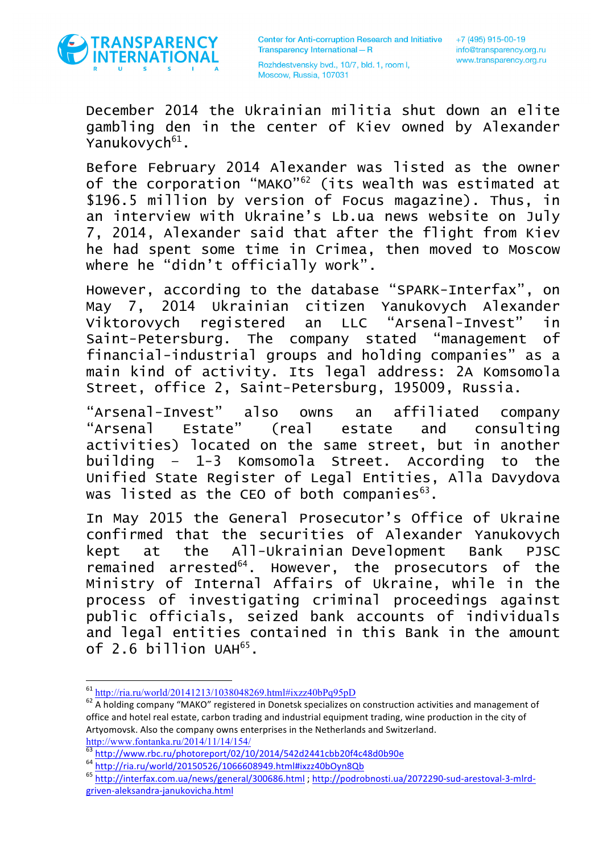

December 2014 the Ukrainian militia shut down an elite gambling den in the center of Kiev owned by Alexander Yanukovych<sup>61</sup>.

Before February 2014 Alexander was listed as the owner of the corporation "MAKO"62 (its wealth was estimated at \$196.5 million by version of Focus magazine). Thus, in an interview with Ukraine's Lb.ua news website on July 7, 2014, Alexander said that after the flight from Kiev he had spent some time in Crimea, then moved to Moscow where he "didn't officially work".

However, according to the database "SPARK-Interfax", on May 7, 2014 Ukrainian citizen Yanukovych Alexander Viktorovych registered an LLC "Arsenal-Invest" in Saint-Petersburg. The company stated "management of financial-industrial groups and holding companies" as a main kind of activity. Its legal address: 2A Komsomola Street, office 2, Saint-Petersburg, 195009, Russia.

"Arsenal-Invest" also owns an affiliated company "Arsenal Estate" (real estate and consulting activities) located on the same street, but in another building – 1-3 Komsomola Street. According to the Unified State Register of Legal Entities, Alla Davydova was listed as the CEO of both companies $63$ .

In May 2015 the General Prosecutor's Office of Ukraine confirmed that the securities of Alexander Yanukovych kept at the All-Ukrainian Development Bank PJSC remained arrested<sup>64</sup>. However, the prosecutors of the Ministry of Internal Affairs of Ukraine, while in the process of investigating criminal proceedings against public officials, seized bank accounts of individuals and legal entities contained in this Bank in the amount of 2.6 billion UAH $^{65}$ .

 

<sup>61</sup> http://ria.ru/world/20141213/1038048269.html#ixzz40bPq95pD

<sup>&</sup>lt;sup>62</sup> A holding company "MAKO" registered in Donetsk specializes on construction activities and management of office and hotel real estate, carbon trading and industrial equipment trading, wine production in the city of Artyomovsk. Also the company owns enterprises in the Netherlands and Switzerland.

http://www.fontanka.ru/2014/11/14/154/<br>
http://www.rbc.ru/photoreport/02/10/2014/542d2441cbb20f4c48d0b90e<br>
64 http://ria.ru/world/20150526/1066608949.html#ixzz40bOyn8Qb<br>
65 http://interfax.com.ua/news/general/300686.html ; griven-aleksandra-janukovicha.html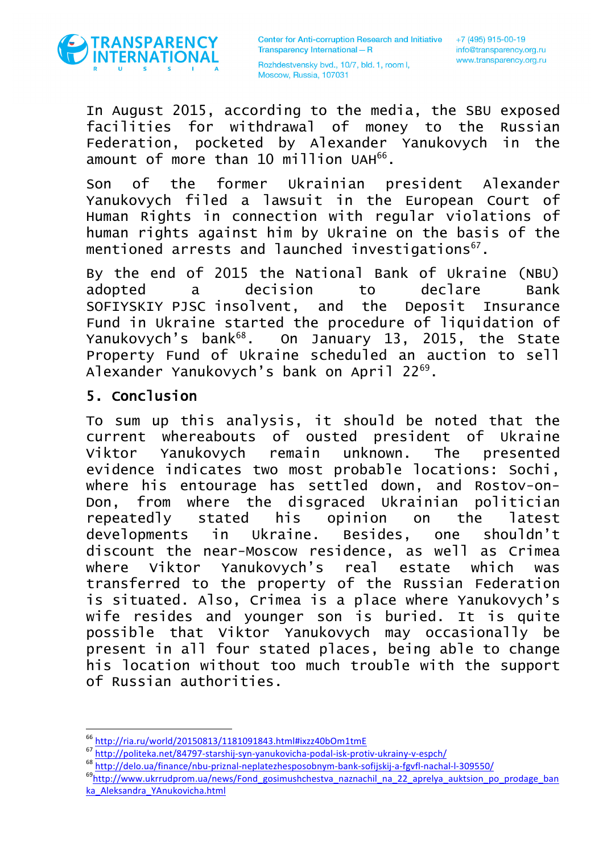

In August 2015, according to the media, the SBU exposed facilities for withdrawal of money to the Russian Federation, pocketed by Alexander Yanukovych in the amount of more than 10 million UAH $^{66}$ .

Son of the former Ukrainian president Alexander Yanukovych filed a lawsuit in the European Court of Human Rights in connection with regular violations of human rights against him by Ukraine on the basis of the mentioned arrests and launched investigations<sup>67</sup>.

By the end of 2015 the National Bank of Ukraine (NBU) adopted a decision to declare Bank SOFIYSKIY PJSC insolvent, and the Deposit Insurance Fund in Ukraine started the procedure of liquidation of Yanukovych's bank<sup>68</sup>. On January 13, 2015, the State Property Fund of Ukraine scheduled an auction to sell Alexander Yanukovych's bank on April 22<sup>69</sup>.

#### 5. Conclusion

To sum up this analysis, it should be noted that the current whereabouts of ousted president of Ukraine Viktor Yanukovych remain unknown. The presented evidence indicates two most probable locations: Sochi, where his entourage has settled down, and Rostov-on-Don, from where the disgraced Ukrainian politician repeatedly stated his opinion on the latest developments in Ukraine. Besides, one shouldn't discount the near-Moscow residence, as well as Crimea where Viktor Yanukovych's real estate which was transferred to the property of the Russian Federation is situated. Also, Crimea is a place where Yanukovych's wife resides and younger son is buried. It is quite possible that Viktor Yanukovych may occasionally be present in all four stated places, being able to change his location without too much trouble with the support of Russian authorities.

<sup>&</sup>lt;sup>66</sup> http://ria.ru/world/20150813/1181091843.html#ixzz40bOm1tmE

<sup>67&</sup>lt;br>http://politeka.net/84797-starshij-syn-yanukovicha-podal-isk-protiv-ukrainy-v-espch/<br>68 http://delo.ua/finance/nbu-priznal-neplatezhesposobnym-bank-sofijskij-a-fgvfl-nachal-l-309550/<br>69 http://www.ukrrudprom.ua/new<u>s/Fo</u>

ka\_Aleksandra\_YAnukovicha.html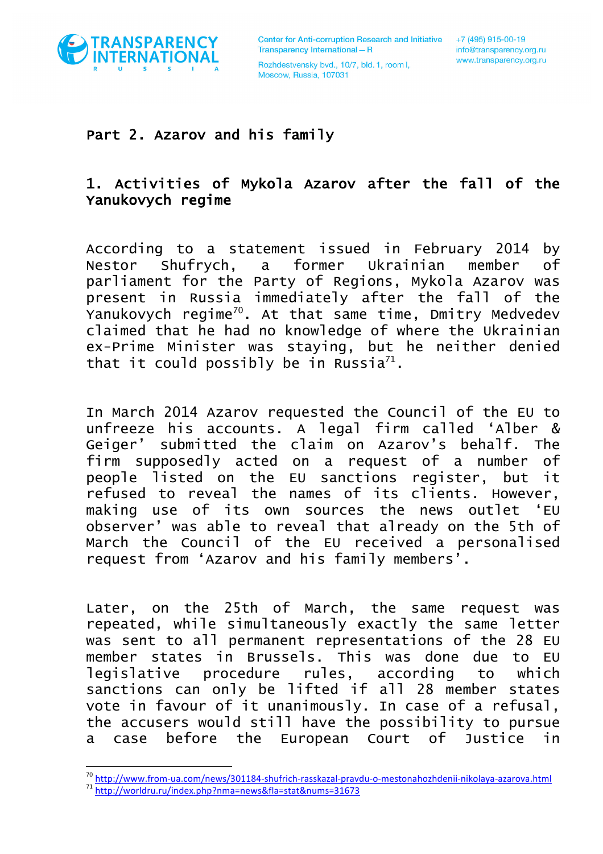

 

Rozhdestvensky bvd., 10/7, bld. 1, room I, Moscow, Russia, 107031

#### Part 2. Azarov and his family

## 1. Activities of Mykola Azarov after the fall of the Yanukovych regime

According to a statement issued in February 2014 by Nestor Shufrych, a former Ukrainian member of parliament for the Party of Regions, Mykola Azarov was present in Russia immediately after the fall of the Yanukovych regime70. At that same time, Dmitry Medvedev claimed that he had no knowledge of where the Ukrainian ex-Prime Minister was staying, but he neither denied that it could possibly be in Russia<sup>71</sup>.

In March 2014 Azarov requested the Council of the EU to unfreeze his accounts. A legal firm called 'Alber & Geiger' submitted the claim on Azarov's behalf. The firm supposedly acted on a request of a number of people listed on the EU sanctions register, but it refused to reveal the names of its clients. However, making use of its own sources the news outlet 'EU observer' was able to reveal that already on the 5th of March the Council of the EU received a personalised request from 'Azarov and his family members'.

Later, on the 25th of March, the same request was repeated, while simultaneously exactly the same letter was sent to all permanent representations of the 28 EU member states in Brussels. This was done due to EU legislative procedure rules, according to which sanctions can only be lifted if all 28 member states vote in favour of it unanimously. In case of a refusal, the accusers would still have the possibility to pursue a case before the European Court of Justice in

<sup>70</sup> http://www.from-ua.com/news/301184-shufrich-rasskazal-pravdu-o-mestonahozhdenii-nikolaya-azarova.html <sup>71</sup> http://worldru.ru/index.php?nma=news&fla=stat&nums=31673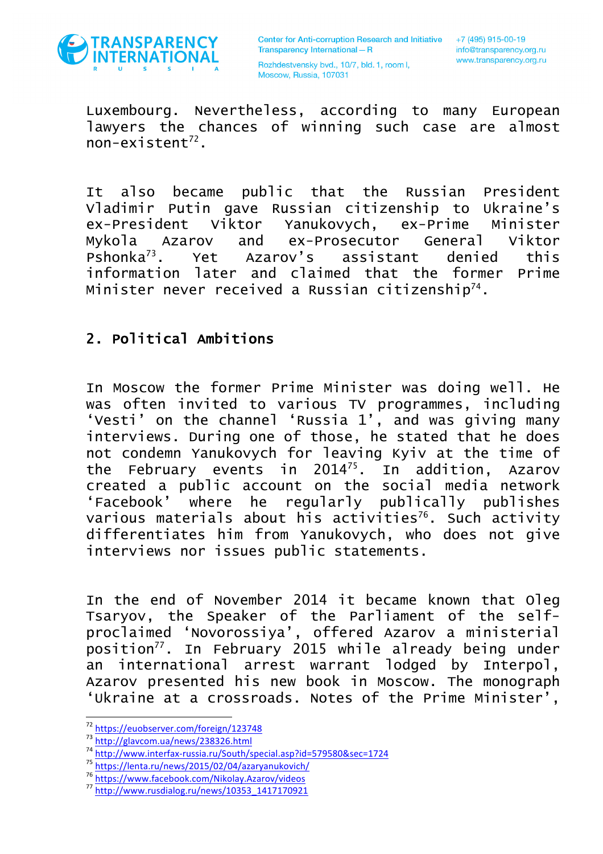

Luxembourg. Nevertheless, according to many European lawyers the chances of winning such case are almost  $non-existent^{72}$ .

It also became public that the Russian President Vladimir Putin gave Russian citizenship to Ukraine's ex-President Viktor Yanukovych, ex-Prime Minister Mykola Azarov and ex-Prosecutor General Viktor Pshonka73. Yet Azarov's assistant denied this information later and claimed that the former Prime Minister never received a Russian citizenship<sup>74</sup>.

### 2. Political Ambitions

In Moscow the former Prime Minister was doing well. He was often invited to various TV programmes, including 'Vesti' on the channel 'Russia 1', and was giving many interviews. During one of those, he stated that he does not condemn Yanukovych for leaving Kyiv at the time of the February events in 201475. In addition, Azarov created a public account on the social media network 'Facebook' where he regularly publically publishes various materials about his activities<sup>76</sup>. Such activity differentiates him from Yanukovych, who does not give interviews nor issues public statements.

In the end of November 2014 it became known that Oleg Tsaryov, the Speaker of the Parliament of the selfproclaimed 'Novorossiya', offered Azarov a ministerial position<sup>77</sup>. In February 2015 while already being under an international arrest warrant lodged by Interpol, Azarov presented his new book in Moscow. The monograph 'Ukraine at a crossroads. Notes of the Prime Minister',

 $\begin{array}{l} \n\hline\n ^{72}\text{ https://eubserver.com/foreign/123748} \\
 \n\hline\n ^{73}\text{ http://glavcom.ua/news/238326.html} \\
 \n\hline\n ^{74}\text{http://www.interfar-russia.ru/South/special.asp?id=579580&sec=1724} \\
 \n\hline\n ^{75}\text{https://lenta.ru/news/2015/02/04/azaryanukovich/} \\
 \n\hline\n ^{76}\text{https://www.facebook.com/Nikolay.Azarov/video} \\
 \n\hline\n ^{77}\text{http://www.rusdiaalog.ru/news/10353 1417$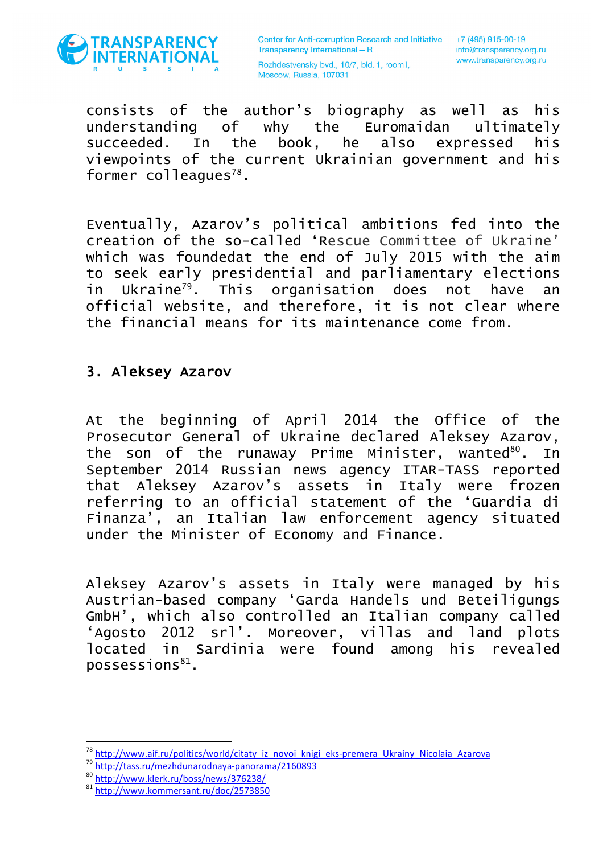

Rozhdestvensky bvd., 10/7, bld. 1, room I, Moscow, Russia, 107031

consists of the author's biography as well as his understanding of why the Euromaidan ultimately succeeded. In the book, he also expressed his viewpoints of the current Ukrainian government and his former colleagues<sup>78</sup>.

Eventually, Azarov's political ambitions fed into the creation of the so-called 'Rescue Committee of Ukraine' which was foundedat the end of July 2015 with the aim to seek early presidential and parliamentary elections in Ukraine79. This organisation does not have an official website, and therefore, it is not clear where the financial means for its maintenance come from.

#### 3. Aleksey Azarov

At the beginning of April 2014 the Office of the Prosecutor General of Ukraine declared Aleksey Azarov, the son of the runaway Prime Minister, wanted $80$ . In September 2014 Russian news agency ITAR-TASS reported that Aleksey Azarov's assets in Italy were frozen referring to an official statement of the 'Guardia di Finanza', an Italian law enforcement agency situated under the Minister of Economy and Finance.

Aleksey Azarov's assets in Italy were managed by his Austrian-based company 'Garda Handels und Beteiligungs GmbH', which also controlled an Italian company called 'Agosto 2012 srl'. Moreover, villas and land plots located in Sardinia were found among his revealed  $possessions<sup>81</sup>$ .

<sup>&</sup>lt;sup>78</sup> http://www.aif.ru/politics/world/citaty iz novoi knigi eks-premera Ukrainy Nicolaia Azarova<br><sup>79</sup> http://tass.ru/mezhdunarodnaya-panorama/2160893<br><sup>80</sup> http://www.klerk.ru/boss/news/376238/<br><sup>81</sup> http://www.kommersant.ru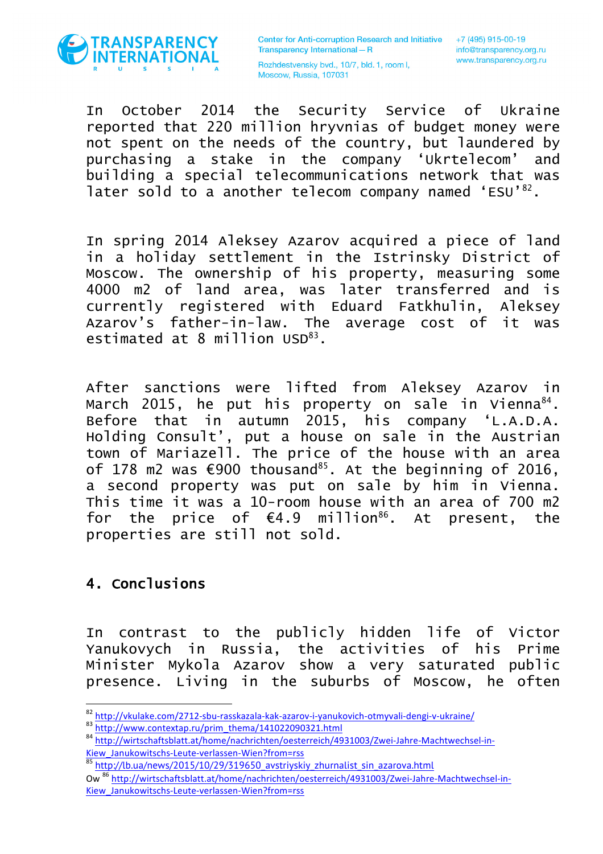

Rozhdestvensky bvd., 10/7, bld. 1, room I, Moscow, Russia, 107031

In October 2014 the Security Service of Ukraine reported that 220 million hryvnias of budget money were not spent on the needs of the country, but laundered by purchasing a stake in the company 'Ukrtelecom' and building a special telecommunications network that was later sold to a another telecom company named 'ESU'82.

In spring 2014 Aleksey Azarov acquired a piece of land in a holiday settlement in the Istrinsky District of Moscow. The ownership of his property, measuring some 4000 m2 of land area, was later transferred and is currently registered with Eduard Fatkhulin, Aleksey Azarov's father-in-law. The average cost of it was estimated at 8 million USD<sup>83</sup>.

After sanctions were lifted from Aleksey Azarov in March 2015, he put his property on sale in Vienna $84$ . Before that in autumn 2015, his company 'L.A.D.A. Holding Consult', put a house on sale in the Austrian town of Mariazell. The price of the house with an area of 178 m2 was  $\epsilon$ 900 thousand<sup>85</sup>. At the beginning of 2016, a second property was put on sale by him in Vienna. This time it was a 10-room house with an area of 700 m2 for the price of  $\epsilon$ 4.9 million<sup>86</sup>. At present, the properties are still not sold.

#### 4. Conclusions

<u> 1989 - Johann Barn, mars ann an t-Amhain an t-Amhain an t-Amhain an t-Amhain an t-Amhain an t-Amhain an t-Amh</u>

In contrast to the publicly hidden life of Victor Yanukovych in Russia, the activities of his Prime Minister Mykola Azarov show a very saturated public presence. Living in the suburbs of Moscow, he often

 $\frac{\text{82 http://vkulake.com/2712-sbu-rasskazala-kak-azarov-i-yanukovich-otmyvali-dengi-v-ukraine)}}{\text{http://www.contextap.ru/prim_thema/141022090321.html}}$ 

Kiew\_Janukowitschs-Leute-verlassen-Wien?from=rss

<sup>&</sup>lt;sup>85</sup> http://lb.ua/news/2015/10/29/319650\_avstriyskiy\_zhurnalist\_sin\_azarova.html Ow<sup>86</sup> http://wirtschaftsblatt.at/home/nachrichten/oesterreich/4931003/Zwei-Jahre-Machtwechsel-in-Kiew\_Janukowitschs-Leute-verlassen-Wien?from=rss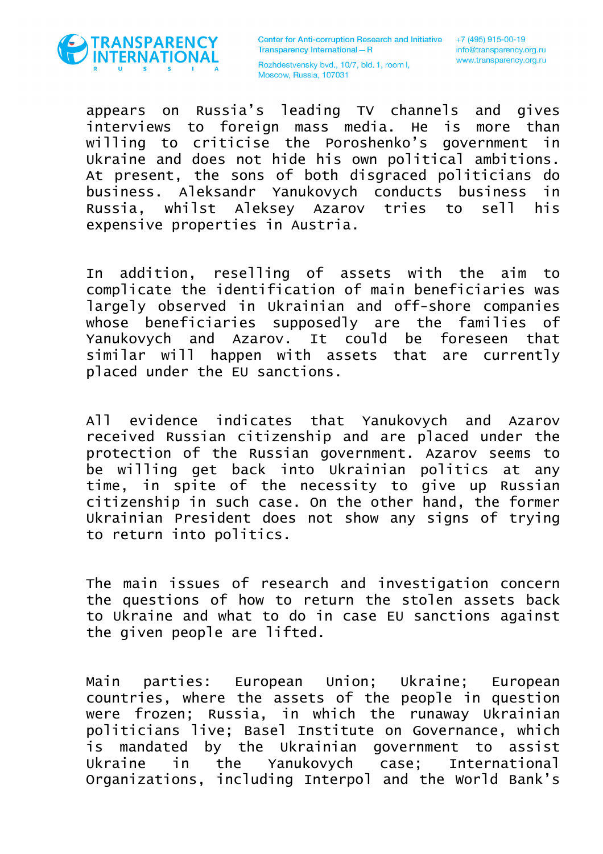

Rozhdestvensky bvd., 10/7, bld. 1, room I, Moscow, Russia, 107031

appears on Russia's leading TV channels and gives interviews to foreign mass media. He is more than willing to criticise the Poroshenko's government in Ukraine and does not hide his own political ambitions. At present, the sons of both disgraced politicians do business. Aleksandr Yanukovych conducts business in Russia, whilst Aleksey Azarov tries to sell his expensive properties in Austria.

In addition, reselling of assets with the aim to complicate the identification of main beneficiaries was largely observed in Ukrainian and off-shore companies whose beneficiaries supposedly are the families of Yanukovych and Azarov. It could be foreseen that similar will happen with assets that are currently placed under the EU sanctions.

All evidence indicates that Yanukovych and Azarov received Russian citizenship and are placed under the protection of the Russian government. Azarov seems to be willing get back into Ukrainian politics at any time, in spite of the necessity to give up Russian citizenship in such case. On the other hand, the former Ukrainian President does not show any signs of trying to return into politics.

The main issues of research and investigation concern the questions of how to return the stolen assets back to Ukraine and what to do in case EU sanctions against the given people are lifted.

Main parties: European Union; Ukraine; European countries, where the assets of the people in question were frozen; Russia, in which the runaway Ukrainian politicians live; Basel Institute on Governance, which is mandated by the Ukrainian government to assist Ukraine in the Yanukovych case; International Organizations, including Interpol and the World Bank's